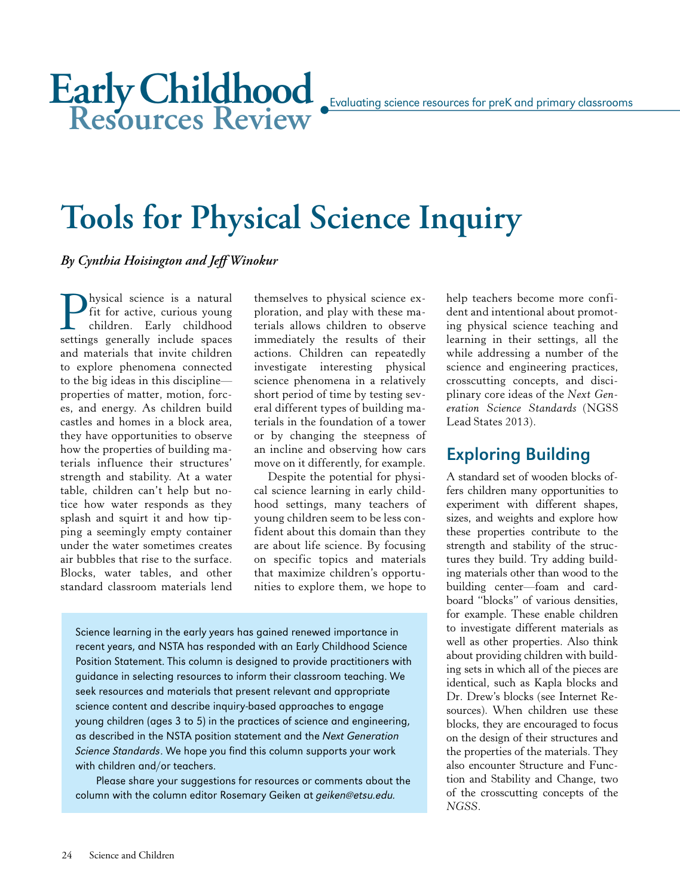# **Tools for Physical Science Inquiry**

*By Cynthia Hoisington and Jeff Winokur*

**P**hysical science is a natural<br>fit for active, curious young<br>children. Early childhood<br>settings generally include spaces fit for active, curious young children. Early childhood settings generally include spaces and materials that invite children to explore phenomena connected to the big ideas in this discipline properties of matter, motion, forces, and energy. As children build castles and homes in a block area, they have opportunities to observe how the properties of building materials influence their structures' strength and stability. At a water table, children can't help but notice how water responds as they splash and squirt it and how tipping a seemingly empty container under the water sometimes creates air bubbles that rise to the surface. Blocks, water tables, and other standard classroom materials lend

themselves to physical science exploration, and play with these materials allows children to observe immediately the results of their actions. Children can repeatedly investigate interesting physical science phenomena in a relatively short period of time by testing several different types of building materials in the foundation of a tower or by changing the steepness of an incline and observing how cars move on it differently, for example.

Despite the potential for physical science learning in early childhood settings, many teachers of young children seem to be less confident about this domain than they are about life science. By focusing on specific topics and materials that maximize children's opportunities to explore them, we hope to

Science learning in the early years has gained renewed importance in recent years, and NSTA has responded with an Early Childhood Science Position Statement. This column is designed to provide practitioners with guidance in selecting resources to inform their classroom teaching. We seek resources and materials that present relevant and appropriate science content and describe inquiry-based approaches to engage young children (ages 3 to 5) in the practices of science and engineering, as described in the NSTA position statement and the Next Generation Science Standards. We hope you find this column supports your work with children and/or teachers.

Please share your suggestions for resources or comments about the column with the column editor Rosemary Geiken at geiken@etsu.edu.

help teachers become more confident and intentional about promoting physical science teaching and learning in their settings, all the while addressing a number of the science and engineering practices, crosscutting concepts, and disciplinary core ideas of the *Next Generation Science Standards* (NGSS Lead States 2013).

# Exploring Building

A standard set of wooden blocks offers children many opportunities to experiment with different shapes, sizes, and weights and explore how these properties contribute to the strength and stability of the structures they build. Try adding building materials other than wood to the building center—foam and cardboard "blocks" of various densities, for example. These enable children to investigate different materials as well as other properties. Also think about providing children with building sets in which all of the pieces are identical, such as Kapla blocks and Dr. Drew's blocks (see Internet Resources). When children use these blocks, they are encouraged to focus on the design of their structures and the properties of the materials. They also encounter Structure and Function and Stability and Change, two of the crosscutting concepts of the *NGSS*.